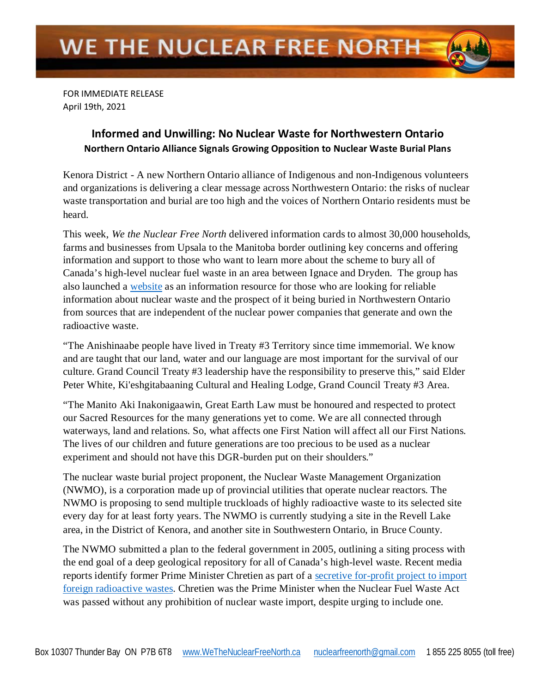FOR IMMEDIATE RELEASE April 19th, 2021

## **Informed and Unwilling: No Nuclear Waste for Northwestern Ontario Northern Ontario Alliance Signals Growing Opposition to Nuclear Waste Burial Plans**

Kenora District - A new Northern Ontario alliance of Indigenous and non-Indigenous volunteers and organizations is delivering a clear message across Northwestern Ontario: the risks of nuclear waste transportation and burial are too high and the voices of Northern Ontario residents must be heard.

This week, *We the Nuclear Free North* delivered information cards to almost 30,000 households, farms and businesses from Upsala to the Manitoba border outlining key concerns and offering information and support to those who want to learn more about the scheme to bury all of Canada's high-level nuclear fuel waste in an area between Ignace and Dryden. The group has also launched a [website](http://www.wethenuclearfreenorth.ca/) as an information resource for those who are looking for reliable information about nuclear waste and the prospect of it being buried in Northwestern Ontario from sources that are independent of the nuclear power companies that generate and own the radioactive waste.

"The Anishinaabe people have lived in Treaty #3 Territory since time immemorial. We know and are taught that our land, water and our language are most important for the survival of our culture. Grand Council Treaty #3 leadership have the responsibility to preserve this," said Elder Peter White, Ki'eshgitabaaning Cultural and Healing Lodge, Grand Council Treaty #3 Area.

"The Manito Aki Inakonigaawin, Great Earth Law must be honoured and respected to protect our Sacred Resources for the many generations yet to come. We are all connected through waterways, land and relations. So, what affects one First Nation will affect all our First Nations. The lives of our children and future generations are too precious to be used as a nuclear experiment and should not have this DGR-burden put on their shoulders."

The nuclear waste burial project proponent, the Nuclear Waste Management Organization (NWMO), is a corporation made up of provincial utilities that operate nuclear reactors. The NWMO is proposing to send multiple truckloads of highly radioactive waste to its selected site every day for at least forty years. The NWMO is currently studying a site in the Revell Lake area, in the District of Kenora, and another site in Southwestern Ontario, in Bruce County.

The NWMO submitted a plan to the federal government in 2005, outlining a siting process with the end goal of a deep geological repository for all of Canada's high-level waste. Recent media reports identify former Prime Minister Chretien as part of a [secretive for-profit project to import](https://www.cbc.ca/news/canada/montreal/chretien-nuclear-waste-project-1.5971996)  [foreign radioactive wastes.](https://www.cbc.ca/news/canada/montreal/chretien-nuclear-waste-project-1.5971996) Chretien was the Prime Minister when the Nuclear Fuel Waste Act was passed without any prohibition of nuclear waste import, despite urging to include one.